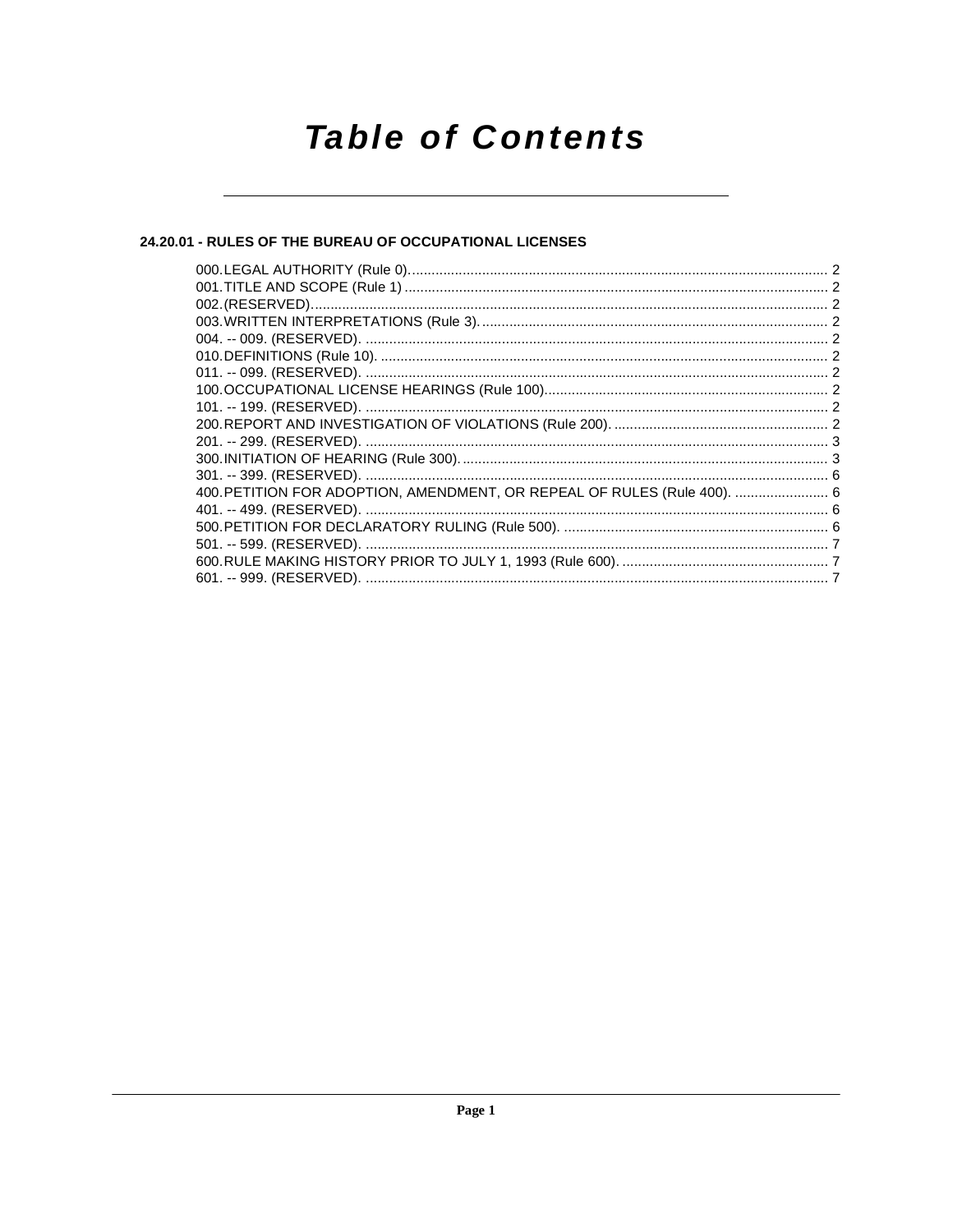# **Table of Contents**

### 24.20.01 - RULES OF THE BUREAU OF OCCUPATIONAL LICENSES

| 400. PETITION FOR ADOPTION, AMENDMENT, OR REPEAL OF RULES (Rule 400).  6 |  |
|--------------------------------------------------------------------------|--|
|                                                                          |  |
|                                                                          |  |
|                                                                          |  |
|                                                                          |  |
|                                                                          |  |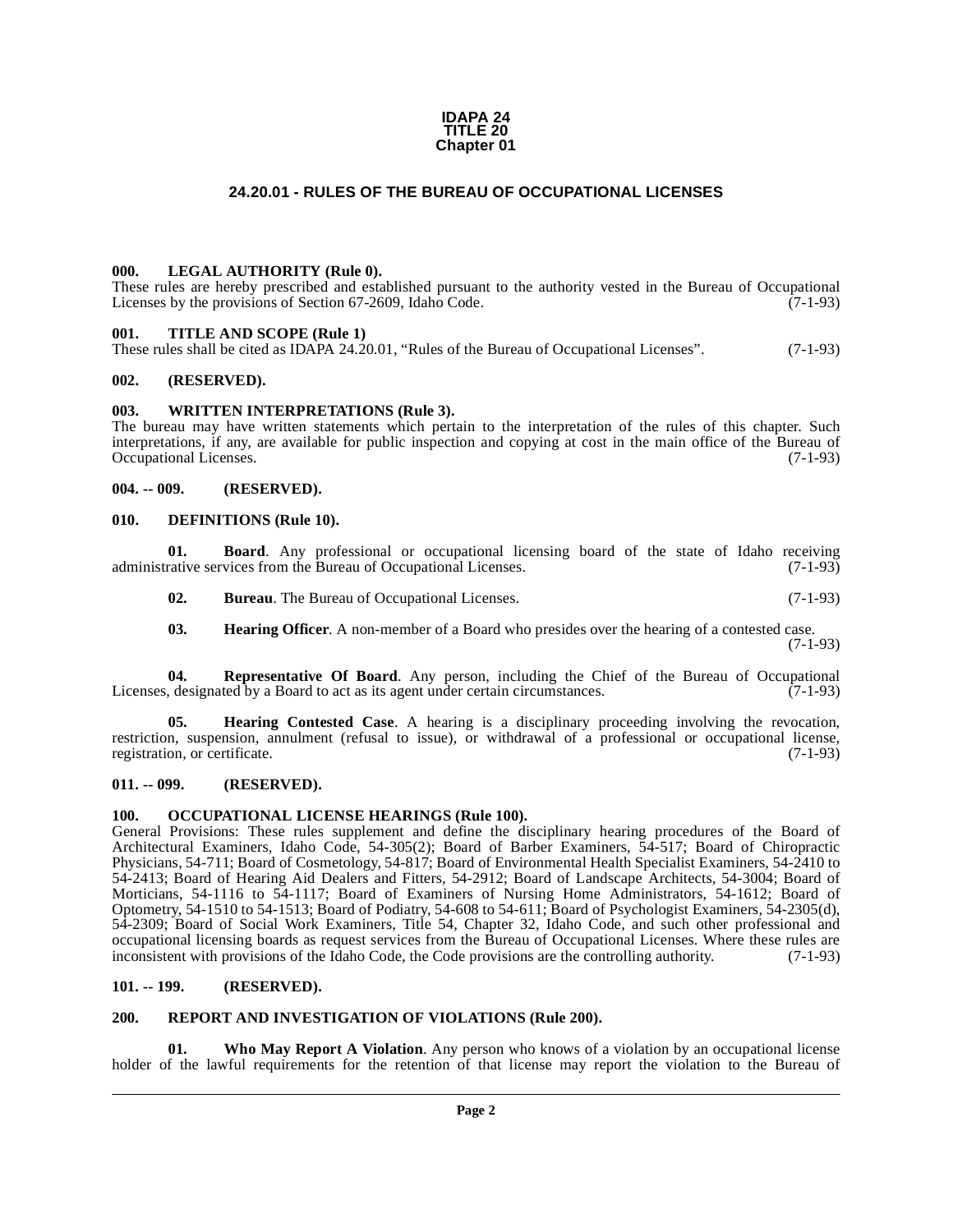#### **IDAPA 24 TITLE 20 Chapter 01**

#### **24.20.01 - RULES OF THE BUREAU OF OCCUPATIONAL LICENSES**

#### <span id="page-1-1"></span><span id="page-1-0"></span>**000. LEGAL AUTHORITY (Rule 0).**

These rules are hereby prescribed and established pursuant to the authority vested in the Bureau of Occupational Licenses by the provisions of Section 67-2609, Idaho Code. (7-1-93)

#### <span id="page-1-2"></span>**001. TITLE AND SCOPE (Rule 1)**

These rules shall be cited as IDAPA 24.20.01, "Rules of the Bureau of Occupational Licenses". (7-1-93)

#### <span id="page-1-3"></span>**002. (RESERVED).**

#### <span id="page-1-4"></span>**003. WRITTEN INTERPRETATIONS (Rule 3).**

The bureau may have written statements which pertain to the interpretation of the rules of this chapter. Such interpretations, if any, are available for public inspection and copying at cost in the main office of the Bureau of Occupational Licenses. (7-1-93)

#### <span id="page-1-5"></span>**004. -- 009. (RESERVED).**

#### <span id="page-1-11"></span><span id="page-1-6"></span>**010. DEFINITIONS (Rule 10).**

**01. Board**. Any professional or occupational licensing board of the state of Idaho receiving rative services from the Bureau of Occupational Licenses. (7-1-93) administrative services from the Bureau of Occupational Licenses.

**02. Bureau**. The Bureau of Occupational Licenses. (7-1-93)

<span id="page-1-16"></span><span id="page-1-13"></span><span id="page-1-12"></span>**03. Hearing Officer**. A non-member of a Board who presides over the hearing of a contested case.

(7-1-93)

**04. Representative Of Board**. Any person, including the Chief of the Bureau of Occupational designated by a Board to act as its agent under certain circumstances. (7-1-93) Licenses, designated by a Board to act as its agent under certain circumstances.

**05. Hearing Contested Case**. A hearing is a disciplinary proceeding involving the revocation, restriction, suspension, annulment (refusal to issue), or withdrawal of a professional or occupational license, registration, or certificate. (7-1-93) registration, or certificate.

#### <span id="page-1-7"></span>**011. -- 099. (RESERVED).**

#### <span id="page-1-14"></span><span id="page-1-8"></span>**100. OCCUPATIONAL LICENSE HEARINGS (Rule 100).**

General Provisions: These rules supplement and define the disciplinary hearing procedures of the Board of Architectural Examiners, Idaho Code, 54-305(2); Board of Barber Examiners, 54-517; Board of Chiropractic Physicians, 54-711; Board of Cosmetology, 54-817; Board of Environmental Health Specialist Examiners, 54-2410 to 54-2413; Board of Hearing Aid Dealers and Fitters, 54-2912; Board of Landscape Architects, 54-3004; Board of Morticians, 54-1116 to 54-1117; Board of Examiners of Nursing Home Administrators, 54-1612; Board of Optometry, 54-1510 to 54-1513; Board of Podiatry, 54-608 to 54-611; Board of Psychologist Examiners, 54-2305(d), 54-2309; Board of Social Work Examiners, Title 54, Chapter 32, Idaho Code, and such other professional and occupational licensing boards as request services from the Bureau of Occupational Licenses. Where these rules are inconsistent with provisions of the Idaho Code, the Code provisions are the controlling authority. (7-1-93) inconsistent with provisions of the Idaho Code, the Code provisions are the controlling authority.

#### <span id="page-1-9"></span>**101. -- 199. (RESERVED).**

#### <span id="page-1-15"></span><span id="page-1-10"></span>**200. REPORT AND INVESTIGATION OF VIOLATIONS (Rule 200).**

<span id="page-1-17"></span>**01. Who May Report A Violation**. Any person who knows of a violation by an occupational license holder of the lawful requirements for the retention of that license may report the violation to the Bureau of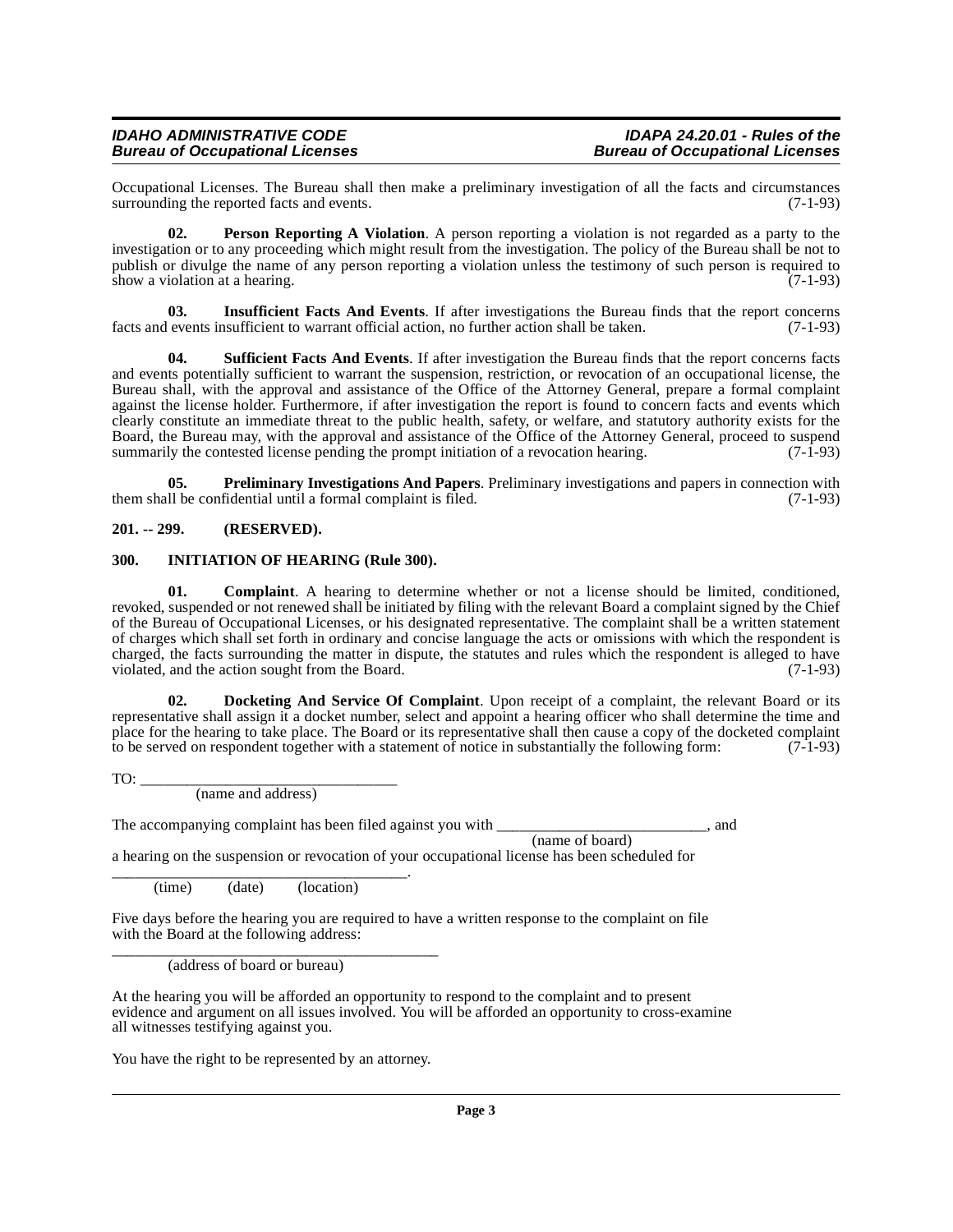#### **IDAHO ADMINISTRATIVE CODE IDAPA 24.20.01 - Rules of the Bureau of Occupational Licenses**

Occupational Licenses. The Bureau shall then make a preliminary investigation of all the facts and circumstances surrounding the reported facts and events.

<span id="page-2-6"></span>**02. Person Reporting A Violation**. A person reporting a violation is not regarded as a party to the investigation or to any proceeding which might result from the investigation. The policy of the Bureau shall be not to publish or divulge the name of any person reporting a violation unless the testimony of such person is required to show a violation at a hearing. (7-1-93) show a violation at a hearing.

<span id="page-2-5"></span>**03. Insufficient Facts And Events**. If after investigations the Bureau finds that the report concerns facts and events insufficient to warrant official action, no further action shall be taken. (7-1-93)

<span id="page-2-8"></span>**Sufficient Facts And Events**. If after investigation the Bureau finds that the report concerns facts and events potentially sufficient to warrant the suspension, restriction, or revocation of an occupational license, the Bureau shall, with the approval and assistance of the Office of the Attorney General, prepare a formal complaint against the license holder. Furthermore, if after investigation the report is found to concern facts and events which clearly constitute an immediate threat to the public health, safety, or welfare, and statutory authority exists for the Board, the Bureau may, with the approval and assistance of the Office of the Attorney General, proceed to suspend<br>summarily the contested license pending the prompt initiation of a revocation hearing. (7-1-93) summarily the contested license pending the prompt initiation of a revocation hearing.

<span id="page-2-7"></span>**05. Preliminary Investigations And Papers**. Preliminary investigations and papers in connection with them shall be confidential until a formal complaint is filed. (7-1-93)

#### <span id="page-2-0"></span>**201. -- 299. (RESERVED).**

#### <span id="page-2-4"></span><span id="page-2-1"></span>**300. INITIATION OF HEARING (Rule 300).**

<span id="page-2-2"></span>**01. Complaint**. A hearing to determine whether or not a license should be limited, conditioned, revoked, suspended or not renewed shall be initiated by filing with the relevant Board a complaint signed by the Chief of the Bureau of Occupational Licenses, or his designated representative. The complaint shall be a written statement of charges which shall set forth in ordinary and concise language the acts or omissions with which the respondent is charged, the facts surrounding the matter in dispute, the statutes and rules which the respondent is alleged to have violated, and the action sought from the Board.  $(7-1-93)$ 

**02. Docketing And Service Of Complaint**. Upon receipt of a complaint, the relevant Board or its representative shall assign it a docket number, select and appoint a hearing officer who shall determine the time and place for the hearing to take place. The Board or its representative shall then cause a copy of the docketed complaint to be served on respondent together with a statement of notice in substantially the following form: (7-1-93)

 $TO:$ 

<span id="page-2-3"></span>(name and address)

The accompanying complaint has been filed against you with \_\_\_\_\_\_\_\_\_\_\_\_\_\_\_\_\_\_\_\_\_\_\_\_\_, and (name of board)

a hearing on the suspension or revocation of your occupational license has been scheduled for

\_\_\_\_\_\_\_\_\_\_\_\_\_\_\_\_\_\_\_\_\_\_\_\_\_\_\_\_\_\_\_\_\_\_\_\_\_\_. (time) (date) (location)

Five days before the hearing you are required to have a written response to the complaint on file with the Board at the following address: \_\_\_\_\_\_\_\_\_\_\_\_\_\_\_\_\_\_\_\_\_\_\_\_\_\_\_\_\_\_\_\_\_\_\_\_\_\_\_\_\_\_

(address of board or bureau)

At the hearing you will be afforded an opportunity to respond to the complaint and to present evidence and argument on all issues involved. You will be afforded an opportunity to cross-examine all witnesses testifying against you.

You have the right to be represented by an attorney.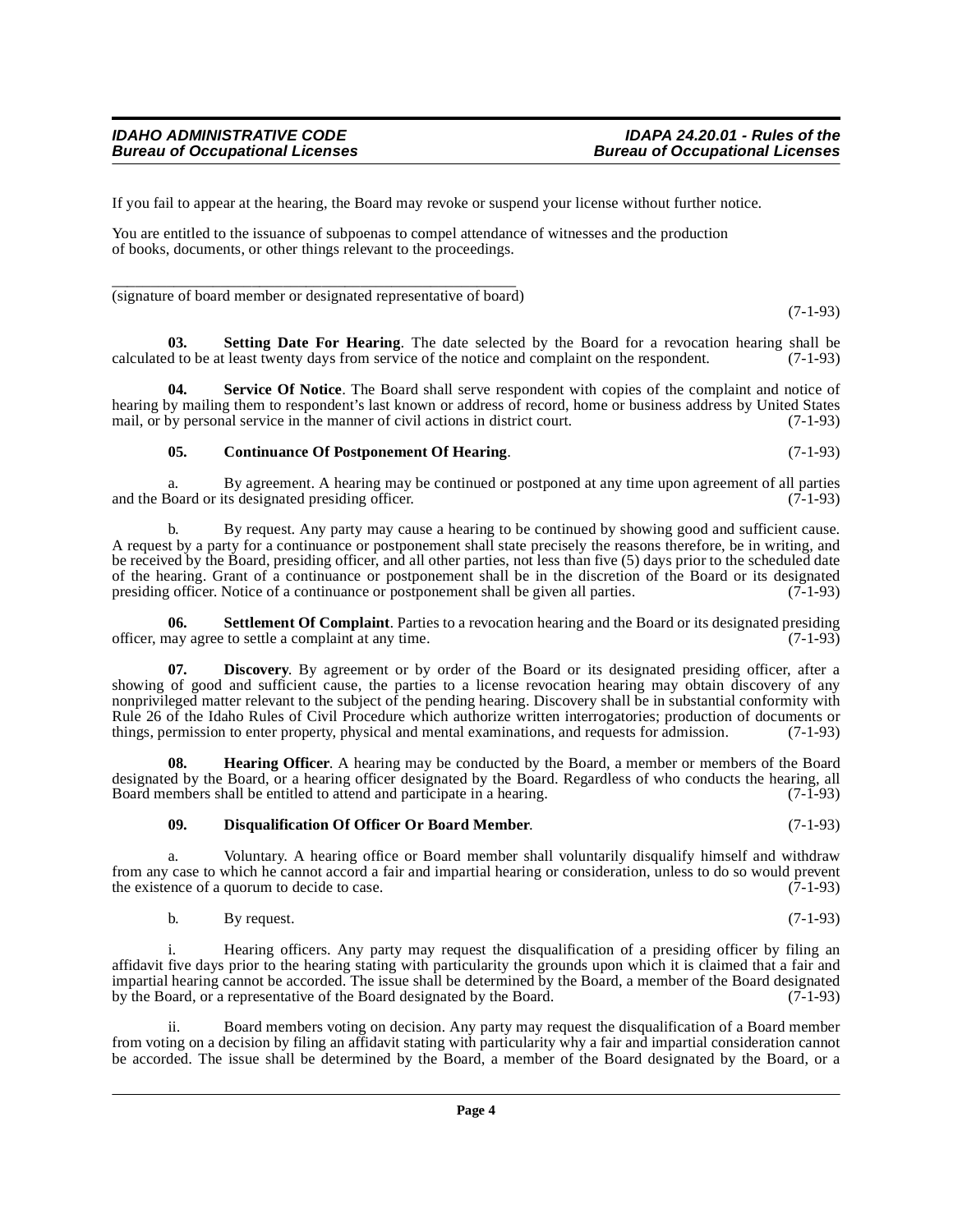If you fail to appear at the hearing, the Board may revoke or suspend your license without further notice.

You are entitled to the issuance of subpoenas to compel attendance of witnesses and the production of books, documents, or other things relevant to the proceedings.

\_\_\_\_\_\_\_\_\_\_\_\_\_\_\_\_\_\_\_\_\_\_\_\_\_\_\_\_\_\_\_\_\_\_\_\_\_\_\_\_\_\_\_\_\_\_\_\_\_\_\_\_ (signature of board member or designated representative of board)

(7-1-93)

<span id="page-3-5"></span>**03.** Setting Date For Hearing. The date selected by the Board for a revocation hearing shall be d to be at least twenty days from service of the notice and complaint on the respondent. (7-1-93) calculated to be at least twenty days from service of the notice and complaint on the respondent.

**Service Of Notice**. The Board shall serve respondent with copies of the complaint and notice of hearing by mailing them to respondent's last known or address of record, home or business address by United States mail, or by personal service in the manner of civil actions in district court. (7-1-93)

#### <span id="page-3-4"></span><span id="page-3-0"></span>**05. Continuance Of Postponement Of Hearing**. (7-1-93)

a. By agreement. A hearing may be continued or postponed at any time upon agreement of all parties 30 and or its designated presiding officer. and the Board or its designated presiding officer.

b. By request. Any party may cause a hearing to be continued by showing good and sufficient cause. A request by a party for a continuance or postponement shall state precisely the reasons therefore, be in writing, and be received by the Board, presiding officer, and all other parties, not less than five (5) days prior to the scheduled date of the hearing. Grant of a continuance or postponement shall be in the discretion of the Board or its designated presiding officer. Notice of a continuance or postponement shall be given all parties. (7-1-93) presiding officer. Notice of a continuance or postponement shall be given all parties.

<span id="page-3-6"></span>**06.** Settlement Of Complaint. Parties to a revocation hearing and the Board or its designated presiding have agree to settle a complaint at any time. officer, may agree to settle a complaint at any time.

<span id="page-3-1"></span>**07. Discovery**. By agreement or by order of the Board or its designated presiding officer, after a showing of good and sufficient cause, the parties to a license revocation hearing may obtain discovery of any nonprivileged matter relevant to the subject of the pending hearing. Discovery shall be in substantial conformity with Rule 26 of the Idaho Rules of Civil Procedure which authorize written interrogatories; production of documents or things, permission to enter property, physical and mental examinations, and requests for admission. (7-1-93)

**08. Hearing Officer**. A hearing may be conducted by the Board, a member or members of the Board designated by the Board, or a hearing officer designated by the Board. Regardless of who conducts the hearing, all Board members shall be entitled to attend and participate in a hearing. Board members shall be entitled to attend and participate in a hearing.

#### <span id="page-3-3"></span><span id="page-3-2"></span>**09. Disqualification Of Officer Or Board Member**. (7-1-93)

a. Voluntary. A hearing office or Board member shall voluntarily disqualify himself and withdraw from any case to which he cannot accord a fair and impartial hearing or consideration, unless to do so would prevent the existence of a quorum to decide to case. the existence of a quorum to decide to case.

b. By request.  $(7-1-93)$ 

i. Hearing officers. Any party may request the disqualification of a presiding officer by filing an affidavit five days prior to the hearing stating with particularity the grounds upon which it is claimed that a fair and impartial hearing cannot be accorded. The issue shall be determined by the Board, a member of the Board designated by the Board, or a representative of the Board designated by the Board. (7-1-93)

ii. Board members voting on decision. Any party may request the disqualification of a Board member from voting on a decision by filing an affidavit stating with particularity why a fair and impartial consideration cannot be accorded. The issue shall be determined by the Board, a member of the Board designated by the Board, or a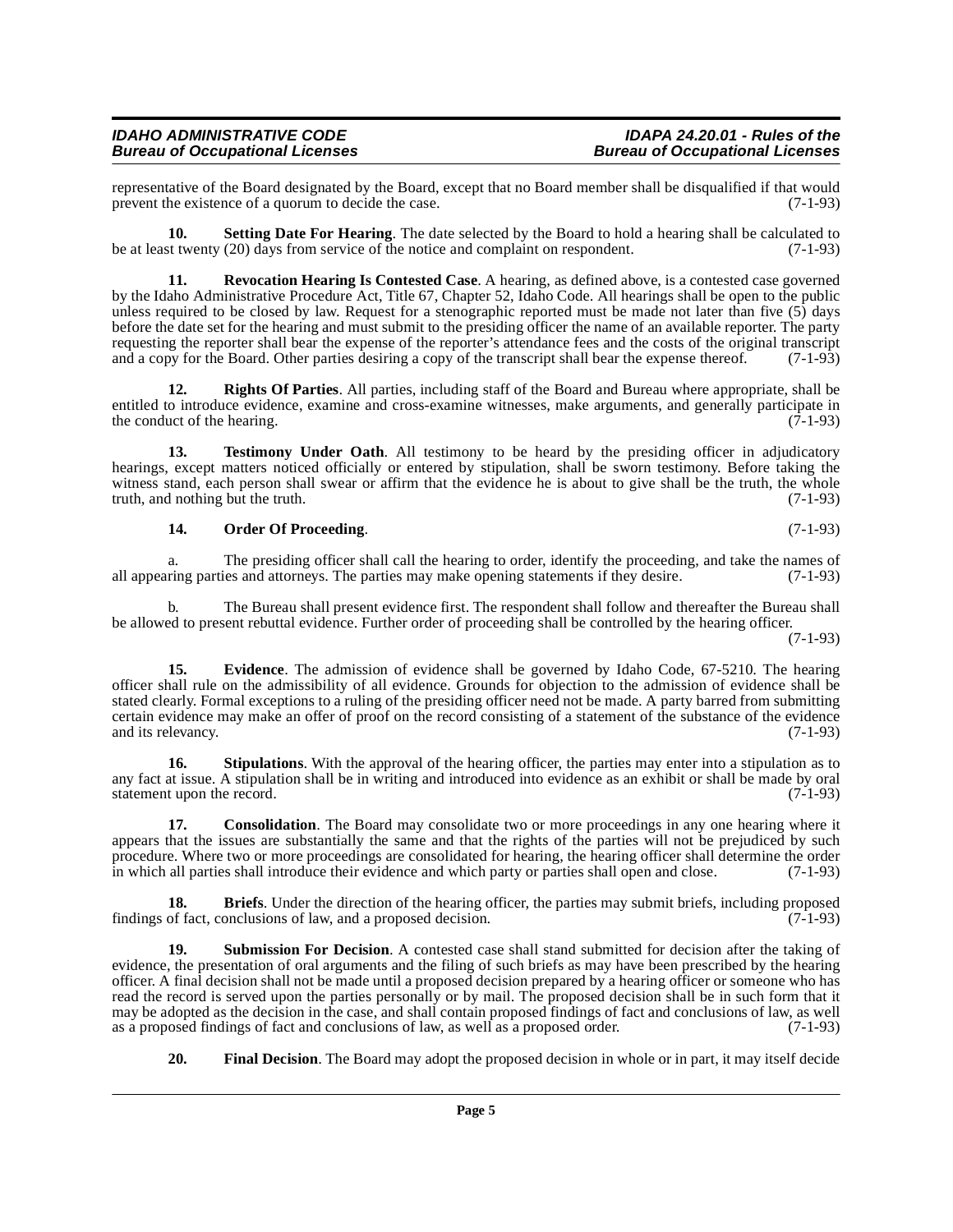#### **IDAHO ADMINISTRATIVE CODE IDAPA 24.20.01 - Rules of the Bureau of Occupational Licenses Bureau of Occupational Licenses**

representative of the Board designated by the Board, except that no Board member shall be disqualified if that would prevent the existence of a quorum to decide the case. prevent the existence of a quorum to decide the case.

<span id="page-4-7"></span>**10. Setting Date For Hearing**. The date selected by the Board to hold a hearing shall be calculated to be at least twenty (20) days from service of the notice and complaint on respondent. (7-1-93)

<span id="page-4-5"></span>**11. Revocation Hearing Is Contested Case**. A hearing, as defined above, is a contested case governed by the Idaho Administrative Procedure Act, Title 67, Chapter 52, Idaho Code. All hearings shall be open to the public unless required to be closed by law. Request for a stenographic reported must be made not later than five (5) days before the date set for the hearing and must submit to the presiding officer the name of an available reporter. The party requesting the reporter shall bear the expense of the reporter's attendance fees and the costs of the original transcript and a copy for the Board. Other parties desiring a copy of the transcript shall bear the expense thereof. (7-1-93)

<span id="page-4-6"></span>**12. Rights Of Parties**. All parties, including staff of the Board and Bureau where appropriate, shall be entitled to introduce evidence, examine and cross-examine witnesses, make arguments, and generally participate in the conduct of the hearing. (7-1-93) the conduct of the hearing.

13. Testimony Under Oath. All testimony to be heard by the presiding officer in adjudicatory hearings, except matters noticed officially or entered by stipulation, shall be sworn testimony. Before taking the witness stand, each person shall swear or affirm that the evidence he is about to give shall be the truth, the whole truth, and nothing but the truth. truth, and nothing but the truth.

#### <span id="page-4-10"></span><span id="page-4-4"></span>**14. Order Of Proceeding**. (7-1-93)

a. The presiding officer shall call the hearing to order, identify the proceeding, and take the names of ring parties and attorneys. The parties may make opening statements if they desire. (7-1-93) all appearing parties and attorneys. The parties may make opening statements if they desire.

b. The Bureau shall present evidence first. The respondent shall follow and thereafter the Bureau shall be allowed to present rebuttal evidence. Further order of proceeding shall be controlled by the hearing officer.

 $(7-1-93)$ 

<span id="page-4-2"></span>**15. Evidence**. The admission of evidence shall be governed by Idaho Code, 67-5210. The hearing officer shall rule on the admissibility of all evidence. Grounds for objection to the admission of evidence shall be stated clearly. Formal exceptions to a ruling of the presiding officer need not be made. A party barred from submitting certain evidence may make an offer of proof on the record consisting of a statement of the substance of the evidence and its relevancy. (7-1-93)

<span id="page-4-8"></span>**16.** Stipulations. With the approval of the hearing officer, the parties may enter into a stipulation as to any fact at issue. A stipulation shall be in writing and introduced into evidence as an exhibit or shall be made by oral statement upon the record. (7-1-93) statement upon the record.

<span id="page-4-1"></span>**17. Consolidation**. The Board may consolidate two or more proceedings in any one hearing where it appears that the issues are substantially the same and that the rights of the parties will not be prejudiced by such procedure. Where two or more proceedings are consolidated for hearing, the hearing officer shall determine the order<br>in which all parties shall introduce their evidence and which party or parties shall open and close. (7-1 in which all parties shall introduce their evidence and which party or parties shall open and close.

<span id="page-4-0"></span>**18. Briefs**. Under the direction of the hearing officer, the parties may submit briefs, including proposed findings of fact, conclusions of law, and a proposed decision. (7-1-93)

<span id="page-4-9"></span>**19. Submission For Decision**. A contested case shall stand submitted for decision after the taking of evidence, the presentation of oral arguments and the filing of such briefs as may have been prescribed by the hearing officer. A final decision shall not be made until a proposed decision prepared by a hearing officer or someone who has read the record is served upon the parties personally or by mail. The proposed decision shall be in such form that it may be adopted as the decision in the case, and shall contain proposed findings of fact and conclusions of law, as well as a proposed order. (7-1-93) as a proposed findings of fact and conclusions of law, as well as a proposed order.

<span id="page-4-3"></span>**20. Final Decision**. The Board may adopt the proposed decision in whole or in part, it may itself decide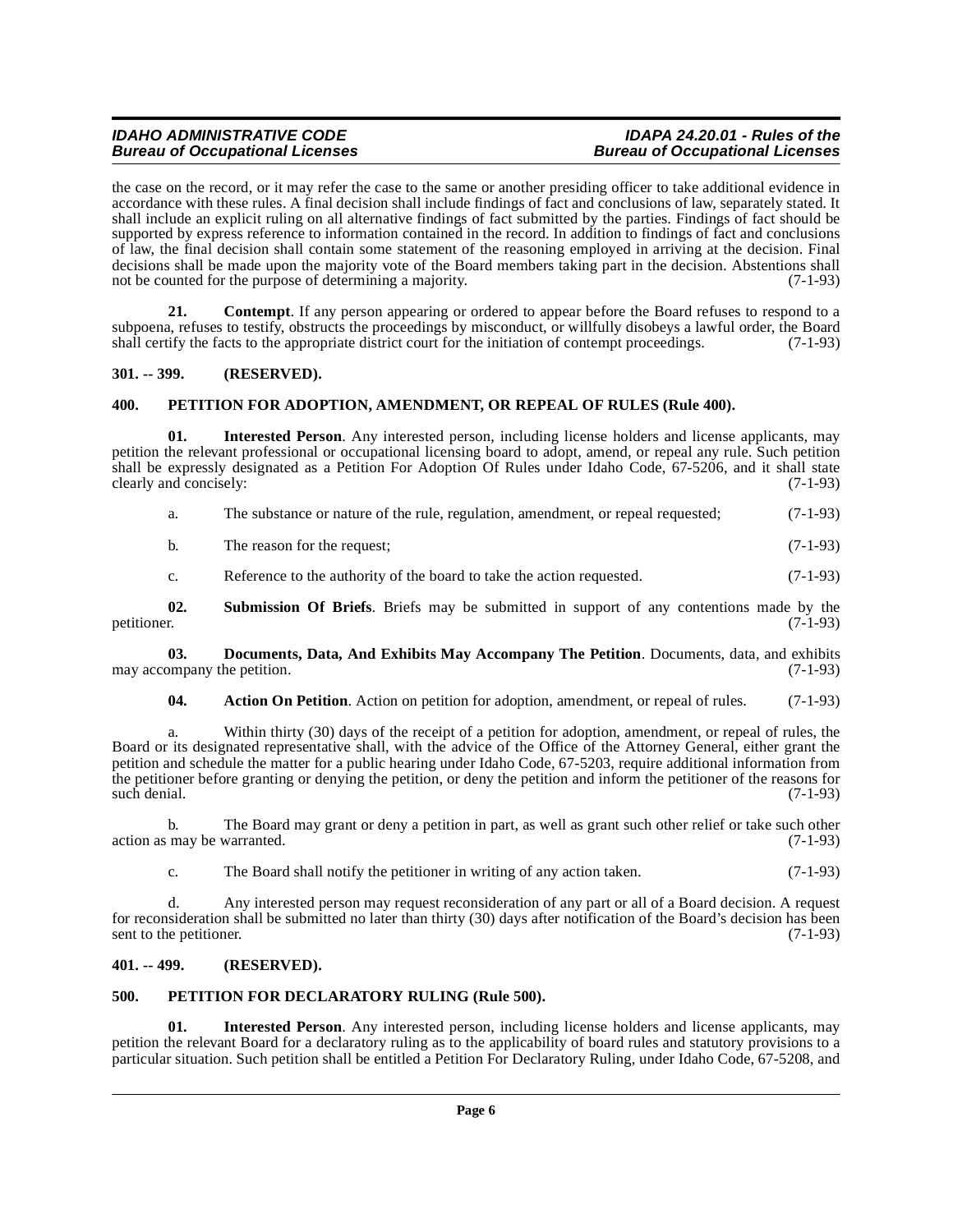#### **IDAHO ADMINISTRATIVE CODE IDAPA 24.20.01 - Rules of the Bureau of Occupational Licenses**

the case on the record, or it may refer the case to the same or another presiding officer to take additional evidence in accordance with these rules. A final decision shall include findings of fact and conclusions of law, separately stated. It shall include an explicit ruling on all alternative findings of fact submitted by the parties. Findings of fact should be supported by express reference to information contained in the record. In addition to findings of fact and conclusions of law, the final decision shall contain some statement of the reasoning employed in arriving at the decision. Final decisions shall be made upon the majority vote of the Board members taking part in the decision. Abstentions shall<br>not be counted for the purpose of determining a majority. (7-1-93) not be counted for the purpose of determining a majority.

<span id="page-5-5"></span>**21. Contempt**. If any person appearing or ordered to appear before the Board refuses to respond to a subpoena, refuses to testify, obstructs the proceedings by misconduct, or willfully disobeys a lawful order, the Board shall certify the facts to the appropriate district court for the initiation of contempt proceedings. (7-1-93)

#### <span id="page-5-0"></span>**301. -- 399. (RESERVED).**

#### <span id="page-5-7"></span><span id="page-5-1"></span>**400. PETITION FOR ADOPTION, AMENDMENT, OR REPEAL OF RULES (Rule 400).**

**01. Interested Person**. Any interested person, including license holders and license applicants, may petition the relevant professional or occupational licensing board to adopt, amend, or repeal any rule. Such petition shall be expressly designated as a Petition For Adoption Of Rules under Idaho Code, 67-5206, and it shall state clearly and concisely: (7-1-93)

|  | The substance or nature of the rule, regulation, amendment, or repeal requested; | $(7-1-93)$ |
|--|----------------------------------------------------------------------------------|------------|
|--|----------------------------------------------------------------------------------|------------|

| b. | The reason for the request; | $(7-1-93)$ |
|----|-----------------------------|------------|
|----|-----------------------------|------------|

<span id="page-5-9"></span>c. Reference to the authority of the board to take the action requested. (7-1-93)

**02.** Submission Of Briefs. Briefs may be submitted in support of any contentions made by the petitioner. (7-1-93) petitioner. (7-1-93)

**03. Documents, Data, And Exhibits May Accompany The Petition**. Documents, data, and exhibits ompany the petition. (7-1-93) may accompany the petition.

<span id="page-5-6"></span><span id="page-5-4"></span>**04.** Action On Petition. Action on petition for adoption, amendment, or repeal of rules. (7-1-93)

a. Within thirty (30) days of the receipt of a petition for adoption, amendment, or repeal of rules, the Board or its designated representative shall, with the advice of the Office of the Attorney General, either grant the petition and schedule the matter for a public hearing under Idaho Code, 67-5203, require additional information from the petitioner before granting or denying the petition, or deny the petition and inform the petitioner of the reasons for such denial. (7-1-93) such denial. (7-1-93)

b. The Board may grant or deny a petition in part, as well as grant such other relief or take such other  $\alpha$  action as may be warranted. (7-1-93)

c. The Board shall notify the petitioner in writing of any action taken. (7-1-93)

d. Any interested person may request reconsideration of any part or all of a Board decision. A request for reconsideration shall be submitted no later than thirty (30) days after notification of the Board's decision has been sent to the petitioner. (7-1-93) sent to the petitioner.

#### <span id="page-5-2"></span>**401. -- 499. (RESERVED).**

#### <span id="page-5-8"></span><span id="page-5-3"></span>**500. PETITION FOR DECLARATORY RULING (Rule 500).**

**01. Interested Person**. Any interested person, including license holders and license applicants, may petition the relevant Board for a declaratory ruling as to the applicability of board rules and statutory provisions to a particular situation. Such petition shall be entitled a Petition For Declaratory Ruling, under Idaho Code, 67-5208, and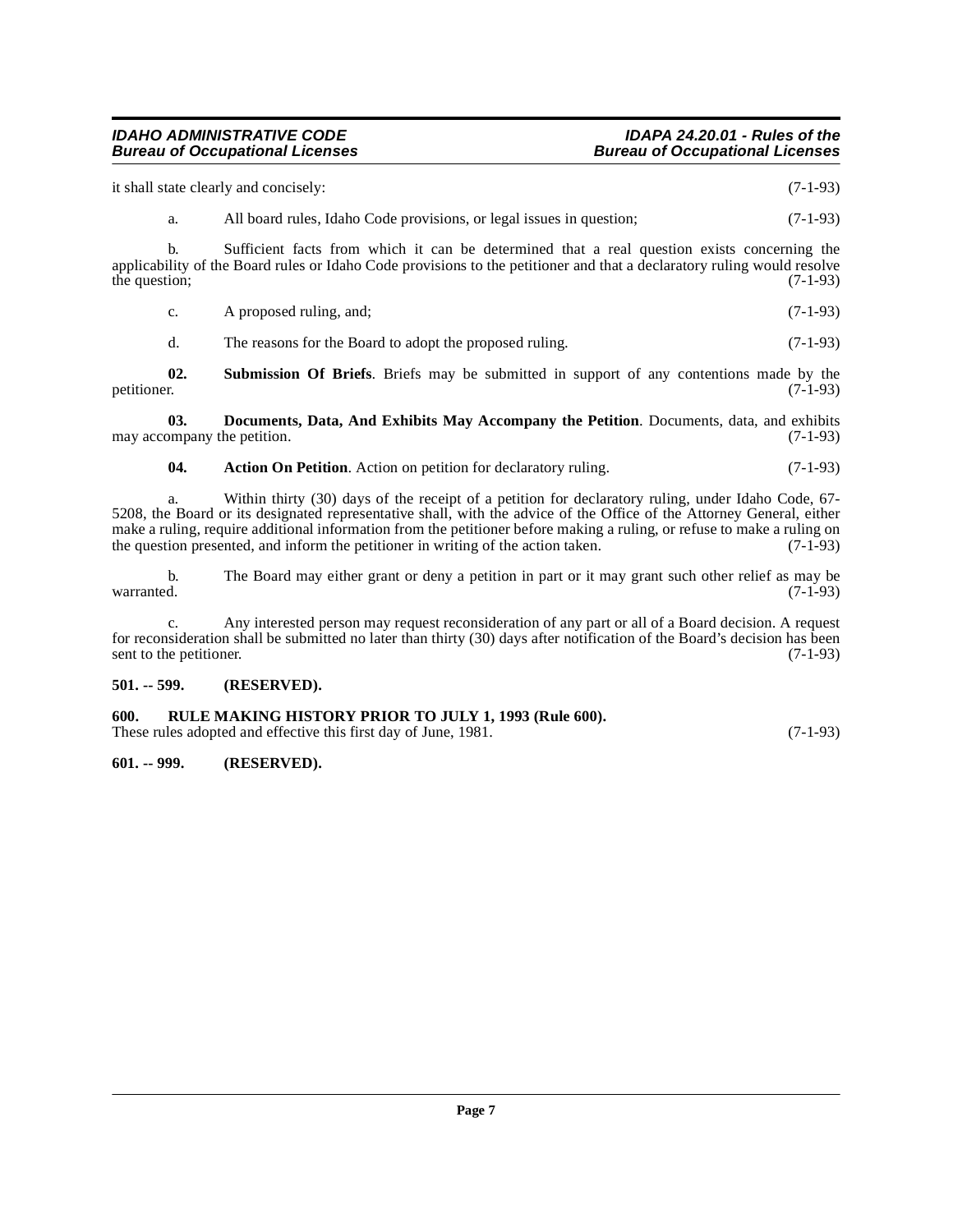### **IDAHO ADMINISTRATIVE CODE IDAPA 24.20.01 - Rules of the**

it shall state clearly and concisely: (7-1-93)

a. All board rules, Idaho Code provisions, or legal issues in question; (7-1-93)

b. Sufficient facts from which it can be determined that a real question exists concerning the applicability of the Board rules or Idaho Code provisions to the petitioner and that a declaratory ruling would resolve the question; (7-1-93) the question;

| C. | A proposed ruling, and; | $(7-1-93)$ |
|----|-------------------------|------------|
|    |                         |            |

<span id="page-6-5"></span>d. The reasons for the Board to adopt the proposed ruling. (7-1-93)

**02.** Submission Of Briefs. Briefs may be submitted in support of any contentions made by the petitioner. (7-1-93) petitioner. (7-1-93)

**03. Documents, Data, And Exhibits May Accompany the Petition**. Documents, data, and exhibits ompany the petition. (7-1-93) may accompany the petition.

#### <span id="page-6-4"></span><span id="page-6-3"></span>**04.** Action On Petition. Action on petition for declaratory ruling. (7-1-93)

a. Within thirty (30) days of the receipt of a petition for declaratory ruling, under Idaho Code, 67- 5208, the Board or its designated representative shall, with the advice of the Office of the Attorney General, either make a ruling, require additional information from the petitioner before making a ruling, or refuse to make a ruling on the question presented, and inform the petitioner in writing of the action taken. (7-1-93) the question presented, and inform the petitioner in writing of the action taken.

b. The Board may either grant or deny a petition in part or it may grant such other relief as may be warranted. (7-1-93)  $\alpha$  warranted.  $(7-1-93)$ 

c. Any interested person may request reconsideration of any part or all of a Board decision. A request for reconsideration shall be submitted no later than thirty (30) days after notification of the Board's decision has been sent to the petitioner. (7-1-93) sent to the petitioner.

#### <span id="page-6-0"></span>**501. -- 599. (RESERVED).**

#### <span id="page-6-1"></span>**600. RULE MAKING HISTORY PRIOR TO JULY 1, 1993 (Rule 600).**

These rules adopted and effective this first day of June, 1981. (7-1-93)

#### <span id="page-6-2"></span>**601. -- 999. (RESERVED).**